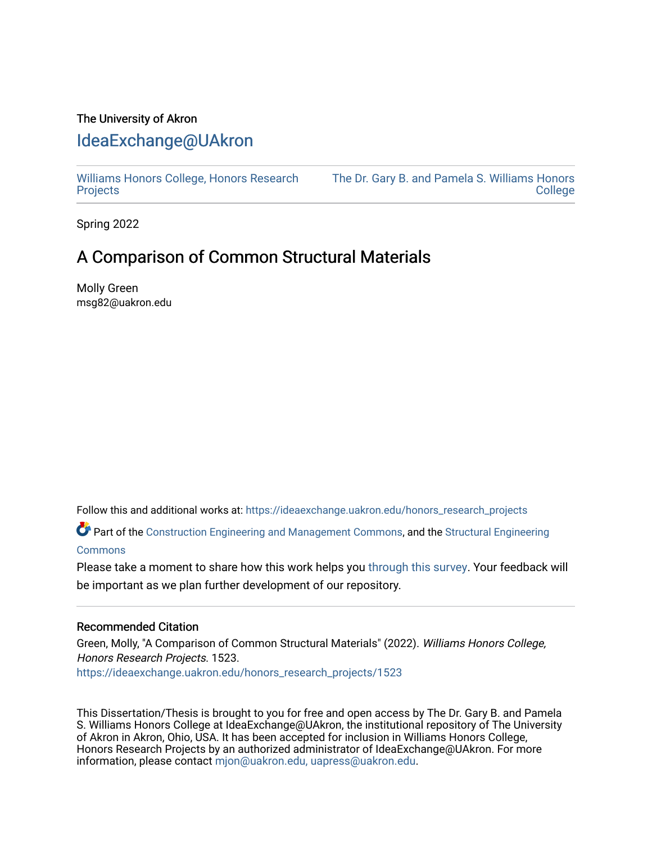# The University of Akron [IdeaExchange@UAkron](https://ideaexchange.uakron.edu/)

[Williams Honors College, Honors Research](https://ideaexchange.uakron.edu/honors_research_projects)  **[Projects](https://ideaexchange.uakron.edu/honors_research_projects)** 

[The Dr. Gary B. and Pamela S. Williams Honors](https://ideaexchange.uakron.edu/honorscollege_ideas)  **College** 

Spring 2022

# A Comparison of Common Structural Materials

Molly Green msg82@uakron.edu

Follow this and additional works at: [https://ideaexchange.uakron.edu/honors\\_research\\_projects](https://ideaexchange.uakron.edu/honors_research_projects?utm_source=ideaexchange.uakron.edu%2Fhonors_research_projects%2F1523&utm_medium=PDF&utm_campaign=PDFCoverPages) 

Part of the [Construction Engineering and Management Commons](http://network.bepress.com/hgg/discipline/253?utm_source=ideaexchange.uakron.edu%2Fhonors_research_projects%2F1523&utm_medium=PDF&utm_campaign=PDFCoverPages), and the [Structural Engineering](http://network.bepress.com/hgg/discipline/256?utm_source=ideaexchange.uakron.edu%2Fhonors_research_projects%2F1523&utm_medium=PDF&utm_campaign=PDFCoverPages) **[Commons](http://network.bepress.com/hgg/discipline/256?utm_source=ideaexchange.uakron.edu%2Fhonors_research_projects%2F1523&utm_medium=PDF&utm_campaign=PDFCoverPages)** 

Please take a moment to share how this work helps you [through this survey](http://survey.az1.qualtrics.com/SE/?SID=SV_eEVH54oiCbOw05f&URL=https://ideaexchange.uakron.edu/honors_research_projects/1523). Your feedback will be important as we plan further development of our repository.

#### Recommended Citation

Green, Molly, "A Comparison of Common Structural Materials" (2022). Williams Honors College, Honors Research Projects. 1523.

[https://ideaexchange.uakron.edu/honors\\_research\\_projects/1523](https://ideaexchange.uakron.edu/honors_research_projects/1523?utm_source=ideaexchange.uakron.edu%2Fhonors_research_projects%2F1523&utm_medium=PDF&utm_campaign=PDFCoverPages) 

This Dissertation/Thesis is brought to you for free and open access by The Dr. Gary B. and Pamela S. Williams Honors College at IdeaExchange@UAkron, the institutional repository of The University of Akron in Akron, Ohio, USA. It has been accepted for inclusion in Williams Honors College, Honors Research Projects by an authorized administrator of IdeaExchange@UAkron. For more information, please contact [mjon@uakron.edu, uapress@uakron.edu.](mailto:mjon@uakron.edu,%20uapress@uakron.edu)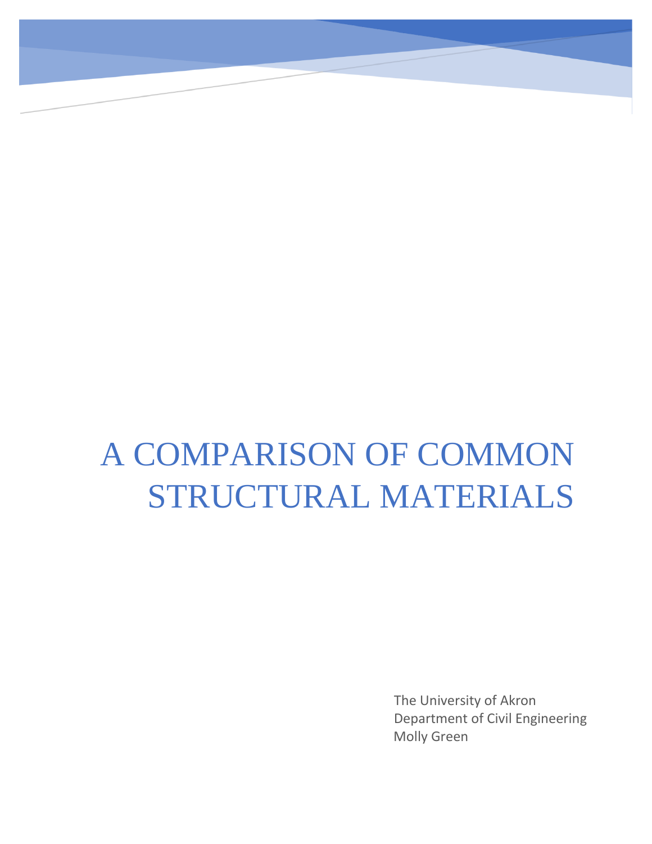# A COMPARISON OF COMMON STRUCTURAL MATERIALS

Molly Green The University of Akron Department of Civil Engineering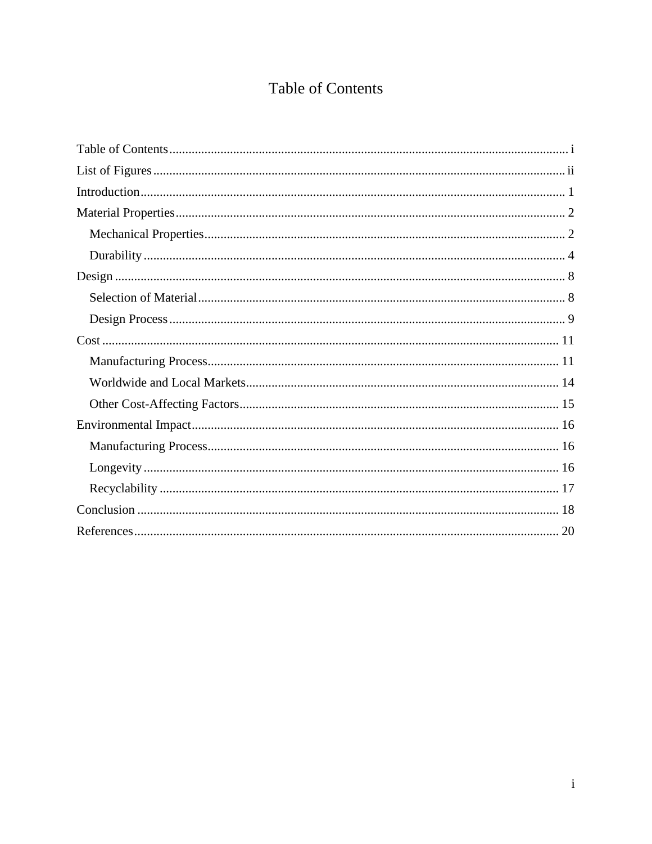# **Table of Contents**

<span id="page-2-0"></span>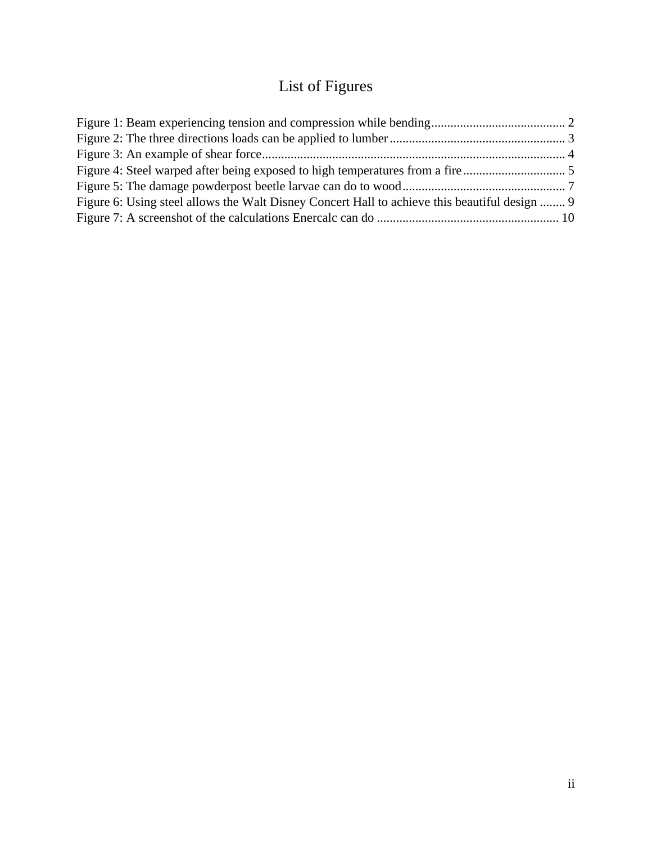# List of Figures

<span id="page-3-0"></span>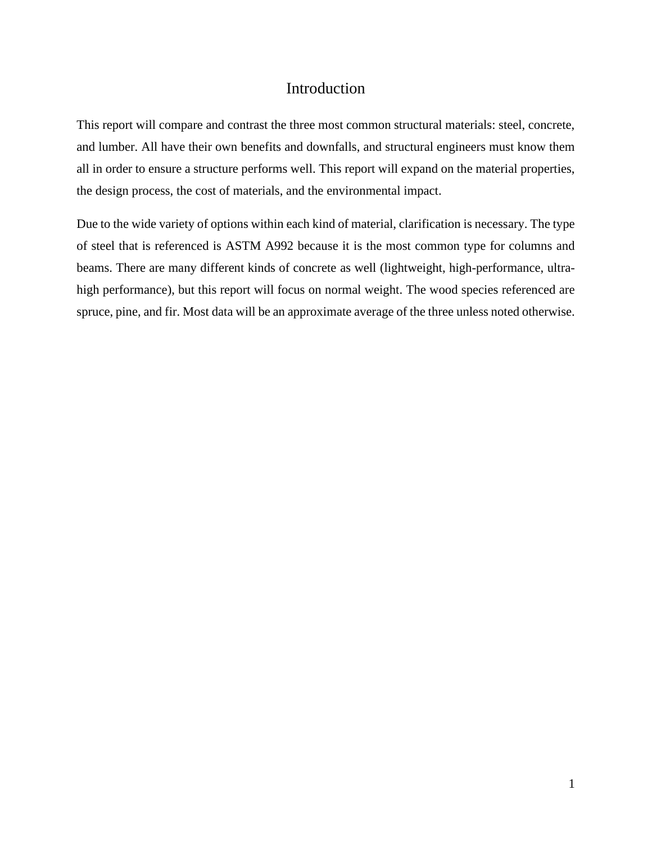# Introduction

<span id="page-4-0"></span>This report will compare and contrast the three most common structural materials: steel, concrete, and lumber. All have their own benefits and downfalls, and structural engineers must know them all in order to ensure a structure performs well. This report will expand on the material properties, the design process, the cost of materials, and the environmental impact.

Due to the wide variety of options within each kind of material, clarification is necessary. The type of steel that is referenced is ASTM A992 because it is the most common type for columns and beams. There are many different kinds of concrete as well (lightweight, high-performance, ultrahigh performance), but this report will focus on normal weight. The wood species referenced are spruce, pine, and fir. Most data will be an approximate average of the three unless noted otherwise.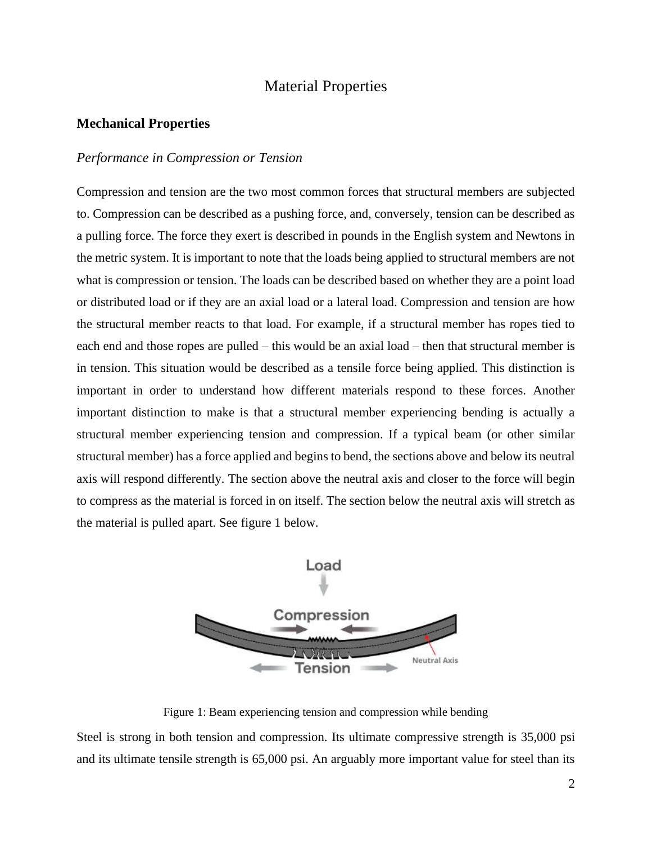# Material Properties

#### <span id="page-5-1"></span><span id="page-5-0"></span>**Mechanical Properties**

#### *Performance in Compression or Tension*

Compression and tension are the two most common forces that structural members are subjected to. Compression can be described as a pushing force, and, conversely, tension can be described as a pulling force. The force they exert is described in pounds in the English system and Newtons in the metric system. It is important to note that the loads being applied to structural members are not what is compression or tension. The loads can be described based on whether they are a point load or distributed load or if they are an axial load or a lateral load. Compression and tension are how the structural member reacts to that load. For example, if a structural member has ropes tied to each end and those ropes are pulled – this would be an axial load – then that structural member is in tension. This situation would be described as a tensile force being applied. This distinction is important in order to understand how different materials respond to these forces. Another important distinction to make is that a structural member experiencing bending is actually a structural member experiencing tension and compression. If a typical beam (or other similar structural member) has a force applied and begins to bend, the sections above and below its neutral axis will respond differently. The section above the neutral axis and closer to the force will begin to compress as the material is forced in on itself. The section below the neutral axis will stretch as the material is pulled apart. See figure 1 below.



Figure 1: Beam experiencing tension and compression while bending

Steel is strong in both tension and compression. Its ultimate compressive strength is 35,000 psi and its ultimate tensile strength is 65,000 psi. An arguably more important value for steel than its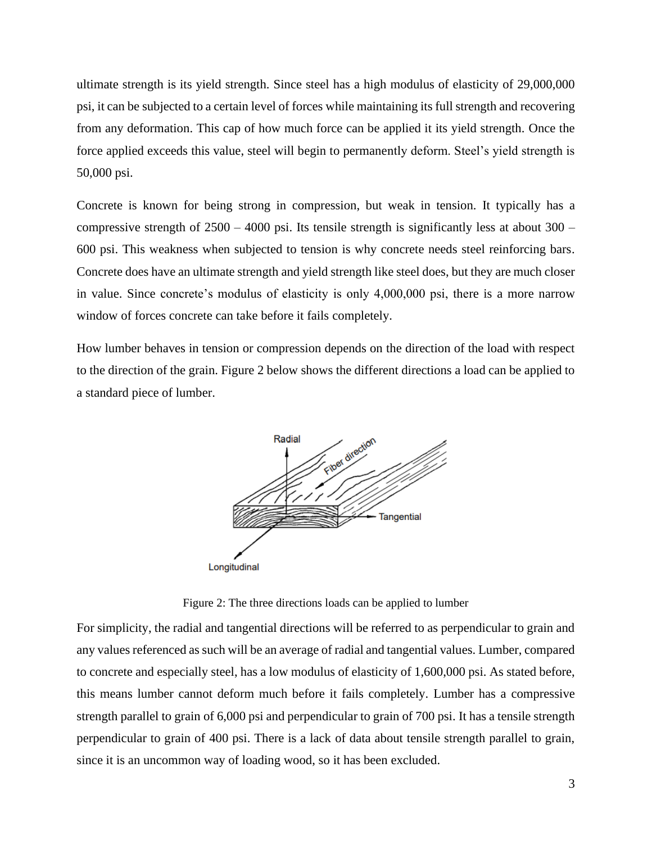ultimate strength is its yield strength. Since steel has a high modulus of elasticity of 29,000,000 psi, it can be subjected to a certain level of forces while maintaining its full strength and recovering from any deformation. This cap of how much force can be applied it its yield strength. Once the force applied exceeds this value, steel will begin to permanently deform. Steel's yield strength is 50,000 psi.

Concrete is known for being strong in compression, but weak in tension. It typically has a compressive strength of  $2500 - 4000$  psi. Its tensile strength is significantly less at about  $300 -$ 600 psi. This weakness when subjected to tension is why concrete needs steel reinforcing bars. Concrete does have an ultimate strength and yield strength like steel does, but they are much closer in value. Since concrete's modulus of elasticity is only 4,000,000 psi, there is a more narrow window of forces concrete can take before it fails completely.

How lumber behaves in tension or compression depends on the direction of the load with respect to the direction of the grain. Figure 2 below shows the different directions a load can be applied to a standard piece of lumber.



Figure 2: The three directions loads can be applied to lumber

For simplicity, the radial and tangential directions will be referred to as perpendicular to grain and any values referenced as such will be an average of radial and tangential values. Lumber, compared to concrete and especially steel, has a low modulus of elasticity of 1,600,000 psi. As stated before, this means lumber cannot deform much before it fails completely. Lumber has a compressive strength parallel to grain of 6,000 psi and perpendicular to grain of 700 psi. It has a tensile strength perpendicular to grain of 400 psi. There is a lack of data about tensile strength parallel to grain, since it is an uncommon way of loading wood, so it has been excluded.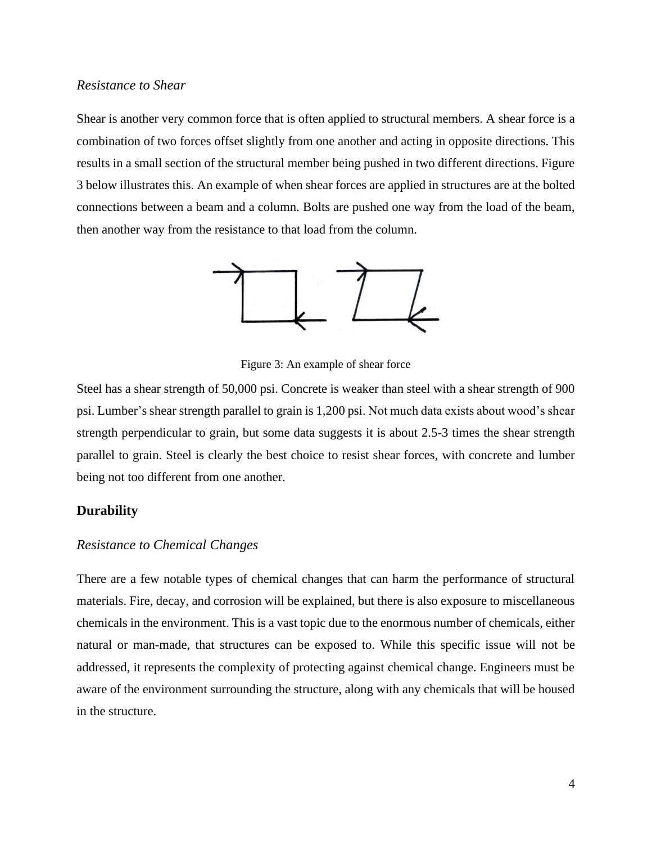#### *Resistance to Shear*

Shear is another very common force that is often applied to structural members. A shear force is a combination of two forces offset slightly from one another and acting in opposite directions. This results in a small section of the structural member being pushed in two different directions. Figure 3 below illustrates this. An example of when shear forces are applied in structures are at the bolted connections between a beam and a column. Bolts are pushed one way from the load of the beam, then another way from the resistance to that load from the column.



Figure 3: An example of shear force

Steel has a shear strength of 50,000 psi. Concrete is weaker than steel with a shear strength of 900 psi. Lumber's shear strength parallel to grain is 1,200 psi. Not much data exists about wood's shear strength perpendicular to grain, but some data suggests it is about 2.5-3 times the shear strength parallel to grain. Steel is clearly the best choice to resist shear forces, with concrete and lumber being not too different from one another.

#### <span id="page-7-0"></span>**Durability**

#### *Resistance to Chemical Changes*

There are a few notable types of chemical changes that can harm the performance of structural materials. Fire, decay, and corrosion will be explained, but there is also exposure to miscellaneous chemicals in the environment. This is a vast topic due to the enormous number of chemicals, either natural or man-made, that structures can be exposed to. While this specific issue will not be addressed, it represents the complexity of protecting against chemical change. Engineers must be aware of the environment surrounding the structure, along with any chemicals that will be housed in the structure.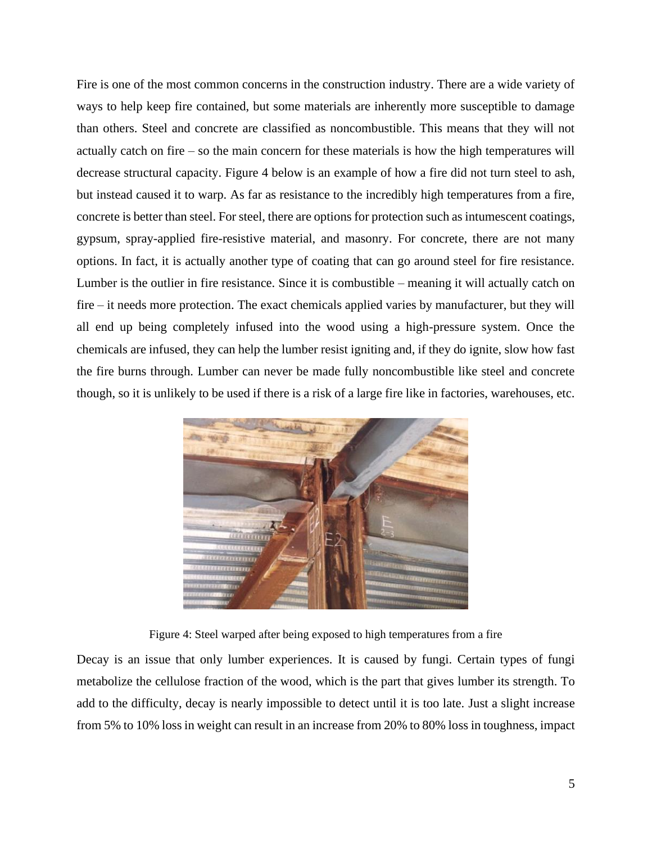Fire is one of the most common concerns in the construction industry. There are a wide variety of ways to help keep fire contained, but some materials are inherently more susceptible to damage than others. Steel and concrete are classified as noncombustible. This means that they will not actually catch on fire – so the main concern for these materials is how the high temperatures will decrease structural capacity. Figure 4 below is an example of how a fire did not turn steel to ash, but instead caused it to warp. As far as resistance to the incredibly high temperatures from a fire, concrete is better than steel. For steel, there are options for protection such as intumescent coatings, gypsum, spray-applied fire-resistive material, and masonry. For concrete, there are not many options. In fact, it is actually another type of coating that can go around steel for fire resistance. Lumber is the outlier in fire resistance. Since it is combustible – meaning it will actually catch on fire – it needs more protection. The exact chemicals applied varies by manufacturer, but they will all end up being completely infused into the wood using a high-pressure system. Once the chemicals are infused, they can help the lumber resist igniting and, if they do ignite, slow how fast the fire burns through. Lumber can never be made fully noncombustible like steel and concrete though, so it is unlikely to be used if there is a risk of a large fire like in factories, warehouses, etc.



Figure 4: Steel warped after being exposed to high temperatures from a fire

Decay is an issue that only lumber experiences. It is caused by fungi. Certain types of fungi metabolize the cellulose fraction of the wood, which is the part that gives lumber its strength. To add to the difficulty, decay is nearly impossible to detect until it is too late. Just a slight increase from 5% to 10% loss in weight can result in an increase from 20% to 80% loss in toughness, impact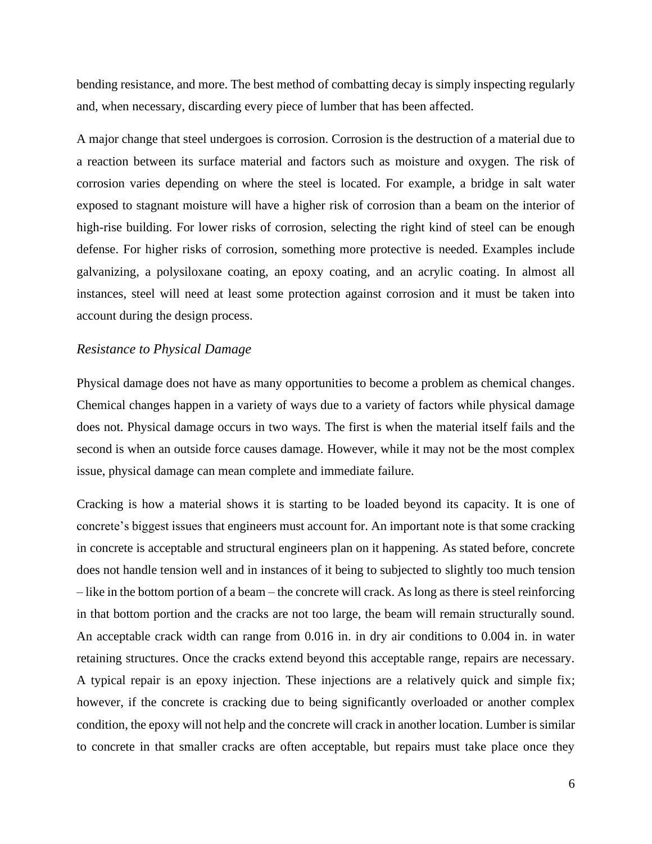bending resistance, and more. The best method of combatting decay is simply inspecting regularly and, when necessary, discarding every piece of lumber that has been affected.

A major change that steel undergoes is corrosion. Corrosion is the destruction of a material due to a reaction between its surface material and factors such as moisture and oxygen. The risk of corrosion varies depending on where the steel is located. For example, a bridge in salt water exposed to stagnant moisture will have a higher risk of corrosion than a beam on the interior of high-rise building. For lower risks of corrosion, selecting the right kind of steel can be enough defense. For higher risks of corrosion, something more protective is needed. Examples include galvanizing, a polysiloxane coating, an epoxy coating, and an acrylic coating. In almost all instances, steel will need at least some protection against corrosion and it must be taken into account during the design process.

#### *Resistance to Physical Damage*

Physical damage does not have as many opportunities to become a problem as chemical changes. Chemical changes happen in a variety of ways due to a variety of factors while physical damage does not. Physical damage occurs in two ways. The first is when the material itself fails and the second is when an outside force causes damage. However, while it may not be the most complex issue, physical damage can mean complete and immediate failure.

Cracking is how a material shows it is starting to be loaded beyond its capacity. It is one of concrete's biggest issues that engineers must account for. An important note is that some cracking in concrete is acceptable and structural engineers plan on it happening. As stated before, concrete does not handle tension well and in instances of it being to subjected to slightly too much tension – like in the bottom portion of a beam – the concrete will crack. As long as there is steel reinforcing in that bottom portion and the cracks are not too large, the beam will remain structurally sound. An acceptable crack width can range from 0.016 in. in dry air conditions to 0.004 in. in water retaining structures. Once the cracks extend beyond this acceptable range, repairs are necessary. A typical repair is an epoxy injection. These injections are a relatively quick and simple fix; however, if the concrete is cracking due to being significantly overloaded or another complex condition, the epoxy will not help and the concrete will crack in another location. Lumber is similar to concrete in that smaller cracks are often acceptable, but repairs must take place once they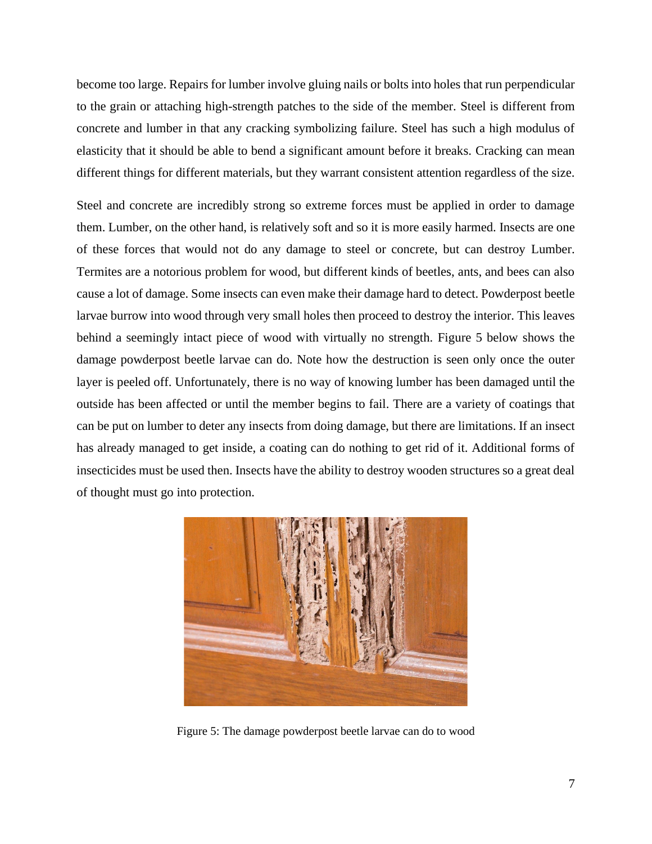become too large. Repairs for lumber involve gluing nails or bolts into holes that run perpendicular to the grain or attaching high-strength patches to the side of the member. Steel is different from concrete and lumber in that any cracking symbolizing failure. Steel has such a high modulus of elasticity that it should be able to bend a significant amount before it breaks. Cracking can mean different things for different materials, but they warrant consistent attention regardless of the size.

Steel and concrete are incredibly strong so extreme forces must be applied in order to damage them. Lumber, on the other hand, is relatively soft and so it is more easily harmed. Insects are one of these forces that would not do any damage to steel or concrete, but can destroy Lumber. Termites are a notorious problem for wood, but different kinds of beetles, ants, and bees can also cause a lot of damage. Some insects can even make their damage hard to detect. Powderpost beetle larvae burrow into wood through very small holes then proceed to destroy the interior. This leaves behind a seemingly intact piece of wood with virtually no strength. Figure 5 below shows the damage powderpost beetle larvae can do. Note how the destruction is seen only once the outer layer is peeled off. Unfortunately, there is no way of knowing lumber has been damaged until the outside has been affected or until the member begins to fail. There are a variety of coatings that can be put on lumber to deter any insects from doing damage, but there are limitations. If an insect has already managed to get inside, a coating can do nothing to get rid of it. Additional forms of insecticides must be used then. Insects have the ability to destroy wooden structures so a great deal of thought must go into protection.



Figure 5: The damage powderpost beetle larvae can do to wood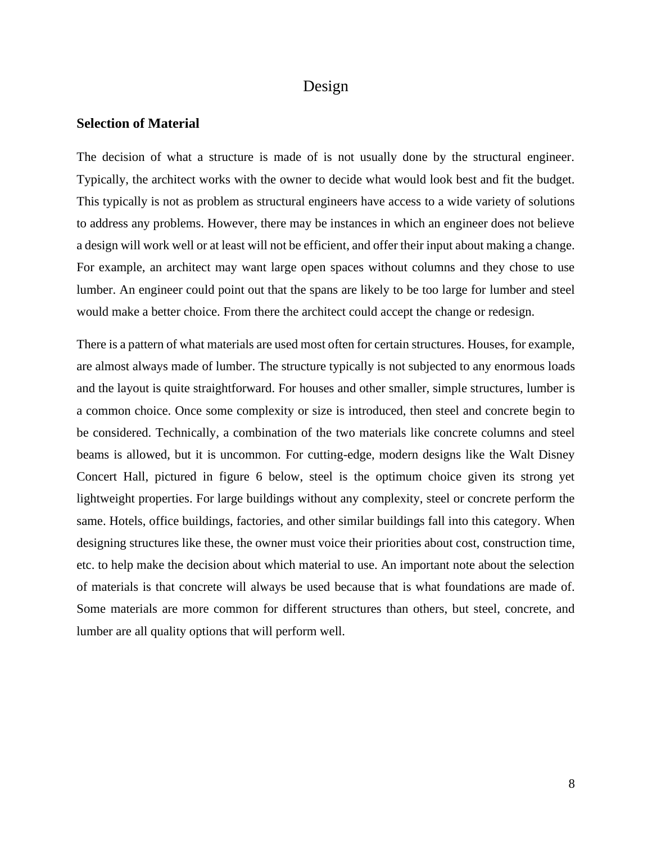# Design

#### <span id="page-11-1"></span><span id="page-11-0"></span>**Selection of Material**

The decision of what a structure is made of is not usually done by the structural engineer. Typically, the architect works with the owner to decide what would look best and fit the budget. This typically is not as problem as structural engineers have access to a wide variety of solutions to address any problems. However, there may be instances in which an engineer does not believe a design will work well or at least will not be efficient, and offer their input about making a change. For example, an architect may want large open spaces without columns and they chose to use lumber. An engineer could point out that the spans are likely to be too large for lumber and steel would make a better choice. From there the architect could accept the change or redesign.

There is a pattern of what materials are used most often for certain structures. Houses, for example, are almost always made of lumber. The structure typically is not subjected to any enormous loads and the layout is quite straightforward. For houses and other smaller, simple structures, lumber is a common choice. Once some complexity or size is introduced, then steel and concrete begin to be considered. Technically, a combination of the two materials like concrete columns and steel beams is allowed, but it is uncommon. For cutting-edge, modern designs like the Walt Disney Concert Hall, pictured in figure 6 below, steel is the optimum choice given its strong yet lightweight properties. For large buildings without any complexity, steel or concrete perform the same. Hotels, office buildings, factories, and other similar buildings fall into this category. When designing structures like these, the owner must voice their priorities about cost, construction time, etc. to help make the decision about which material to use. An important note about the selection of materials is that concrete will always be used because that is what foundations are made of. Some materials are more common for different structures than others, but steel, concrete, and lumber are all quality options that will perform well.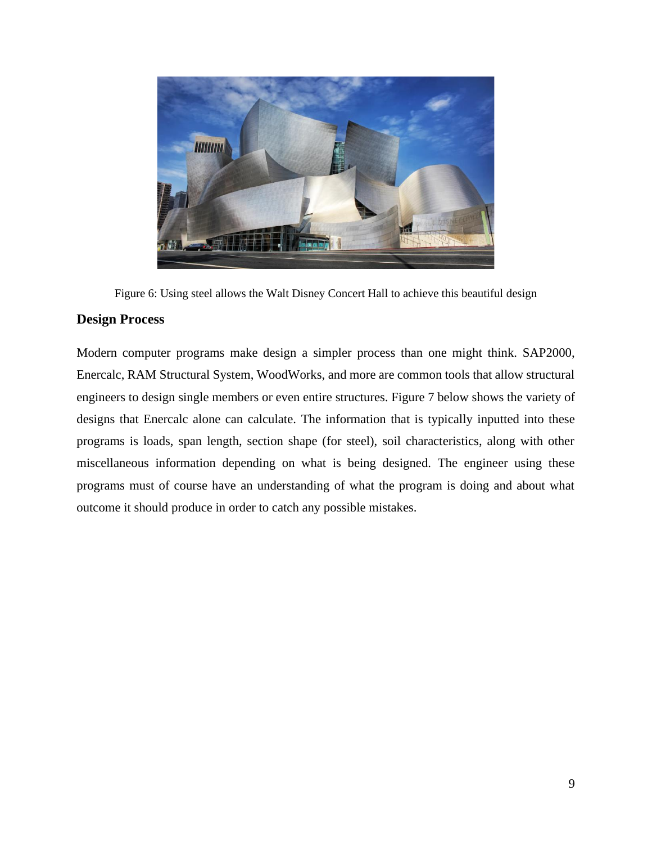

Figure 6: Using steel allows the Walt Disney Concert Hall to achieve this beautiful design

#### <span id="page-12-0"></span>**Design Process**

Modern computer programs make design a simpler process than one might think. SAP2000, Enercalc, RAM Structural System, WoodWorks, and more are common tools that allow structural engineers to design single members or even entire structures. Figure 7 below shows the variety of designs that Enercalc alone can calculate. The information that is typically inputted into these programs is loads, span length, section shape (for steel), soil characteristics, along with other miscellaneous information depending on what is being designed. The engineer using these programs must of course have an understanding of what the program is doing and about what outcome it should produce in order to catch any possible mistakes.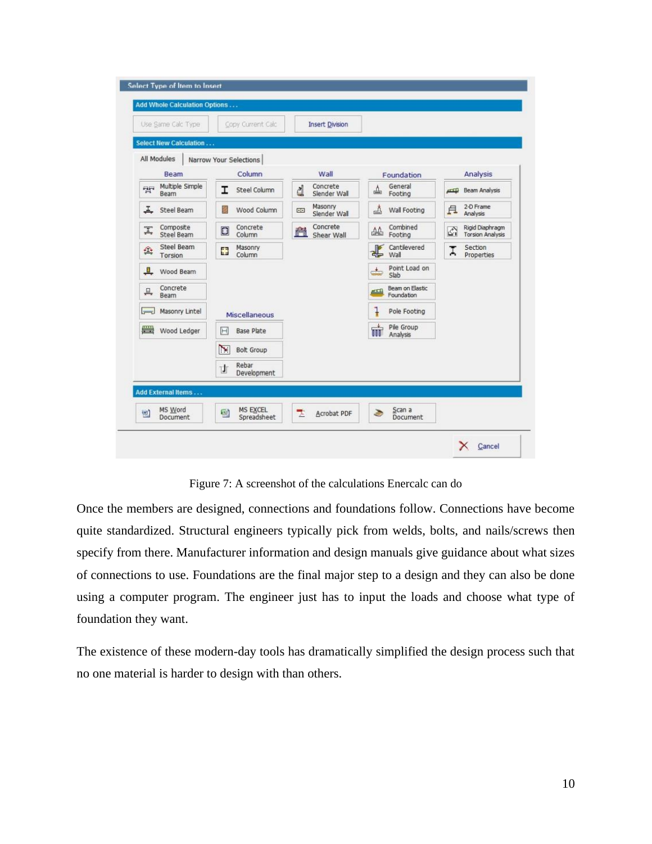| Use Same Calc Type                          | Copy Current Calc            | <b>Insert Division</b>                     |                                              |                                                                 |
|---------------------------------------------|------------------------------|--------------------------------------------|----------------------------------------------|-----------------------------------------------------------------|
| Select New Calculation                      |                              |                                            |                                              |                                                                 |
| All Modules                                 | Narrow Your Selections       |                                            |                                              |                                                                 |
| <b>Beam</b>                                 | Column                       | Wall                                       | Foundation                                   | Analysis                                                        |
| Multiple Simple<br><b>PH</b><br><b>Beam</b> | <b>Steel Column</b><br>I     | Concrete<br>₫<br>Slender Wall              | General<br>盀<br>Footing                      | Beam Analysis<br>$-11122$                                       |
| エ<br>Steel Beam                             | Wood Column<br>Z             | Masonry<br>GF <sub>1</sub><br>Slender Wall | 凸<br>Wall Footing                            | 2-D Frame<br>且<br>Analysis                                      |
| Composite<br>I<br>Steel Beam                | Concrete<br>D<br>Column      | Concrete<br>菛<br>Shear Wall                | Combined<br>亝<br>Footing                     | Rigid Diaphragm<br>$\mathcal{L}_{1}$<br><b>Torsion Analysis</b> |
| Steel Beam<br>傘<br>Torsion                  | Masonry<br>Ø<br>Column       |                                            | Cantilevered<br>€<br>Wall                    | Section<br>Ţ<br>Properties                                      |
| $\blacksquare$<br>Wood Beam                 |                              |                                            | Point Load on<br>پخت<br>Slab                 |                                                                 |
| Concrete<br>프<br>Beam                       |                              |                                            | Beam on Elastic<br>$rac{1}{2}$<br>Foundation |                                                                 |
| Masonry Lintel<br>$\overline{}$             | Miscellaneous                |                                            | ļ<br>Pole Footing                            |                                                                 |
| ■<br>Wood Ledger                            | Base Plate<br>F              |                                            | m<br>Pile Group<br>Analysis                  |                                                                 |
|                                             | $\sum$<br><b>Bolt Group</b>  |                                            |                                              |                                                                 |
|                                             | Rebar<br>廿<br>Development    |                                            |                                              |                                                                 |
| Add External Items                          |                              |                                            |                                              |                                                                 |
| MS Word<br>回<br>Document                    | MS EXCEL<br>酗<br>Spreadsheet | 뻣<br>Acrobat PDF                           | Scan a<br>۵<br><b>Document</b>               |                                                                 |

Figure 7: A screenshot of the calculations Enercalc can do

Once the members are designed, connections and foundations follow. Connections have become quite standardized. Structural engineers typically pick from welds, bolts, and nails/screws then specify from there. Manufacturer information and design manuals give guidance about what sizes of connections to use. Foundations are the final major step to a design and they can also be done using a computer program. The engineer just has to input the loads and choose what type of foundation they want.

The existence of these modern-day tools has dramatically simplified the design process such that no one material is harder to design with than others.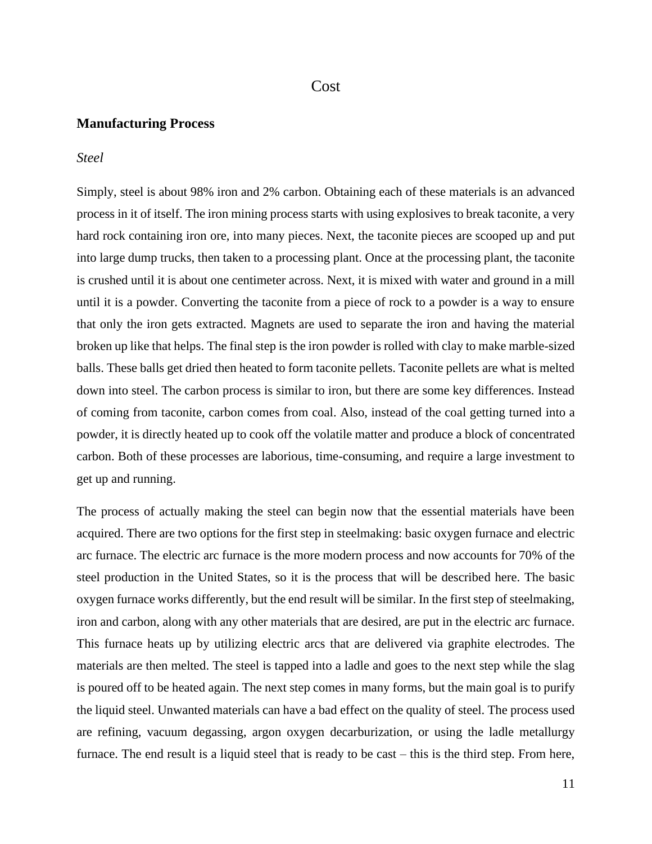#### Cost

#### <span id="page-14-1"></span><span id="page-14-0"></span>**Manufacturing Process**

#### *Steel*

Simply, steel is about 98% iron and 2% carbon. Obtaining each of these materials is an advanced process in it of itself. The iron mining process starts with using explosives to break taconite, a very hard rock containing iron ore, into many pieces. Next, the taconite pieces are scooped up and put into large dump trucks, then taken to a processing plant. Once at the processing plant, the taconite is crushed until it is about one centimeter across. Next, it is mixed with water and ground in a mill until it is a powder. Converting the taconite from a piece of rock to a powder is a way to ensure that only the iron gets extracted. Magnets are used to separate the iron and having the material broken up like that helps. The final step is the iron powder is rolled with clay to make marble-sized balls. These balls get dried then heated to form taconite pellets. Taconite pellets are what is melted down into steel. The carbon process is similar to iron, but there are some key differences. Instead of coming from taconite, carbon comes from coal. Also, instead of the coal getting turned into a powder, it is directly heated up to cook off the volatile matter and produce a block of concentrated carbon. Both of these processes are laborious, time-consuming, and require a large investment to get up and running.

The process of actually making the steel can begin now that the essential materials have been acquired. There are two options for the first step in steelmaking: basic oxygen furnace and electric arc furnace. The electric arc furnace is the more modern process and now accounts for 70% of the steel production in the United States, so it is the process that will be described here. The basic oxygen furnace works differently, but the end result will be similar. In the first step of steelmaking, iron and carbon, along with any other materials that are desired, are put in the electric arc furnace. This furnace heats up by utilizing electric arcs that are delivered via graphite electrodes. The materials are then melted. The steel is tapped into a ladle and goes to the next step while the slag is poured off to be heated again. The next step comes in many forms, but the main goal is to purify the liquid steel. Unwanted materials can have a bad effect on the quality of steel. The process used are refining, vacuum degassing, argon oxygen decarburization, or using the ladle metallurgy furnace. The end result is a liquid steel that is ready to be cast – this is the third step. From here,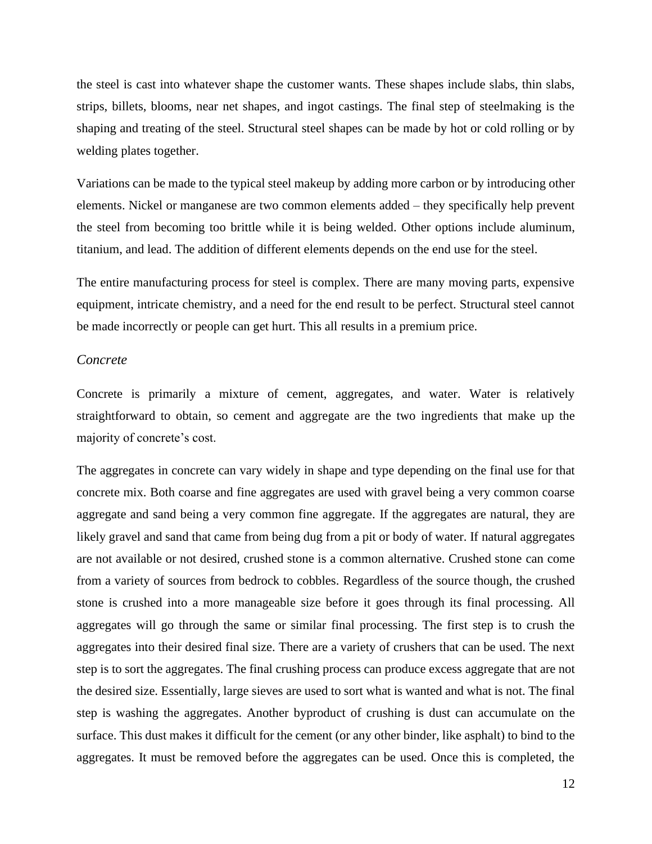the steel is cast into whatever shape the customer wants. These shapes include slabs, thin slabs, strips, billets, blooms, near net shapes, and ingot castings. The final step of steelmaking is the shaping and treating of the steel. Structural steel shapes can be made by hot or cold rolling or by welding plates together.

Variations can be made to the typical steel makeup by adding more carbon or by introducing other elements. Nickel or manganese are two common elements added – they specifically help prevent the steel from becoming too brittle while it is being welded. Other options include aluminum, titanium, and lead. The addition of different elements depends on the end use for the steel.

The entire manufacturing process for steel is complex. There are many moving parts, expensive equipment, intricate chemistry, and a need for the end result to be perfect. Structural steel cannot be made incorrectly or people can get hurt. This all results in a premium price.

#### *Concrete*

Concrete is primarily a mixture of cement, aggregates, and water. Water is relatively straightforward to obtain, so cement and aggregate are the two ingredients that make up the majority of concrete's cost.

The aggregates in concrete can vary widely in shape and type depending on the final use for that concrete mix. Both coarse and fine aggregates are used with gravel being a very common coarse aggregate and sand being a very common fine aggregate. If the aggregates are natural, they are likely gravel and sand that came from being dug from a pit or body of water. If natural aggregates are not available or not desired, crushed stone is a common alternative. Crushed stone can come from a variety of sources from bedrock to cobbles. Regardless of the source though, the crushed stone is crushed into a more manageable size before it goes through its final processing. All aggregates will go through the same or similar final processing. The first step is to crush the aggregates into their desired final size. There are a variety of crushers that can be used. The next step is to sort the aggregates. The final crushing process can produce excess aggregate that are not the desired size. Essentially, large sieves are used to sort what is wanted and what is not. The final step is washing the aggregates. Another byproduct of crushing is dust can accumulate on the surface. This dust makes it difficult for the cement (or any other binder, like asphalt) to bind to the aggregates. It must be removed before the aggregates can be used. Once this is completed, the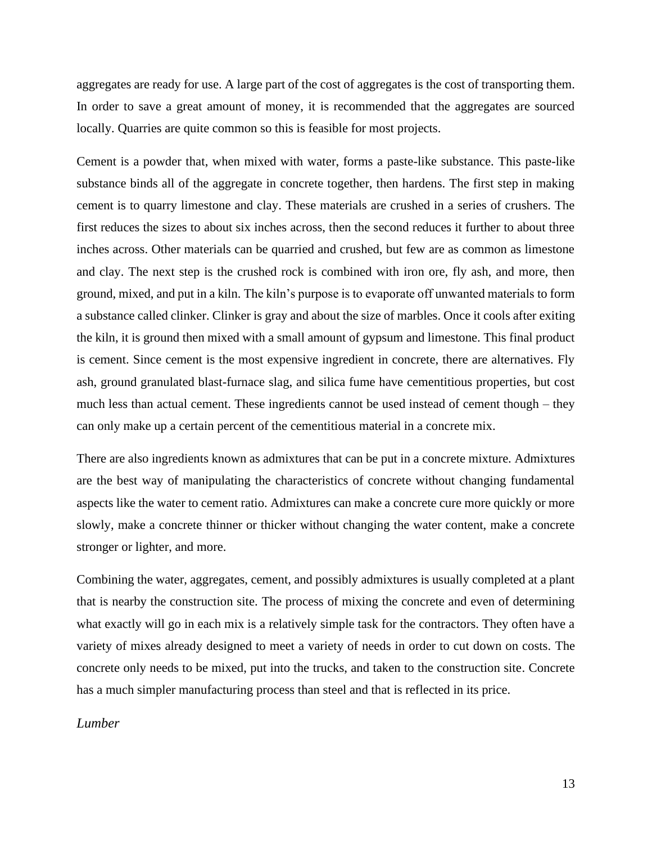aggregates are ready for use. A large part of the cost of aggregates is the cost of transporting them. In order to save a great amount of money, it is recommended that the aggregates are sourced locally. Quarries are quite common so this is feasible for most projects.

Cement is a powder that, when mixed with water, forms a paste-like substance. This paste-like substance binds all of the aggregate in concrete together, then hardens. The first step in making cement is to quarry limestone and clay. These materials are crushed in a series of crushers. The first reduces the sizes to about six inches across, then the second reduces it further to about three inches across. Other materials can be quarried and crushed, but few are as common as limestone and clay. The next step is the crushed rock is combined with iron ore, fly ash, and more, then ground, mixed, and put in a kiln. The kiln's purpose is to evaporate off unwanted materials to form a substance called clinker. Clinker is gray and about the size of marbles. Once it cools after exiting the kiln, it is ground then mixed with a small amount of gypsum and limestone. This final product is cement. Since cement is the most expensive ingredient in concrete, there are alternatives. Fly ash, ground granulated blast-furnace slag, and silica fume have cementitious properties, but cost much less than actual cement. These ingredients cannot be used instead of cement though – they can only make up a certain percent of the cementitious material in a concrete mix.

There are also ingredients known as admixtures that can be put in a concrete mixture. Admixtures are the best way of manipulating the characteristics of concrete without changing fundamental aspects like the water to cement ratio. Admixtures can make a concrete cure more quickly or more slowly, make a concrete thinner or thicker without changing the water content, make a concrete stronger or lighter, and more.

Combining the water, aggregates, cement, and possibly admixtures is usually completed at a plant that is nearby the construction site. The process of mixing the concrete and even of determining what exactly will go in each mix is a relatively simple task for the contractors. They often have a variety of mixes already designed to meet a variety of needs in order to cut down on costs. The concrete only needs to be mixed, put into the trucks, and taken to the construction site. Concrete has a much simpler manufacturing process than steel and that is reflected in its price.

*Lumber*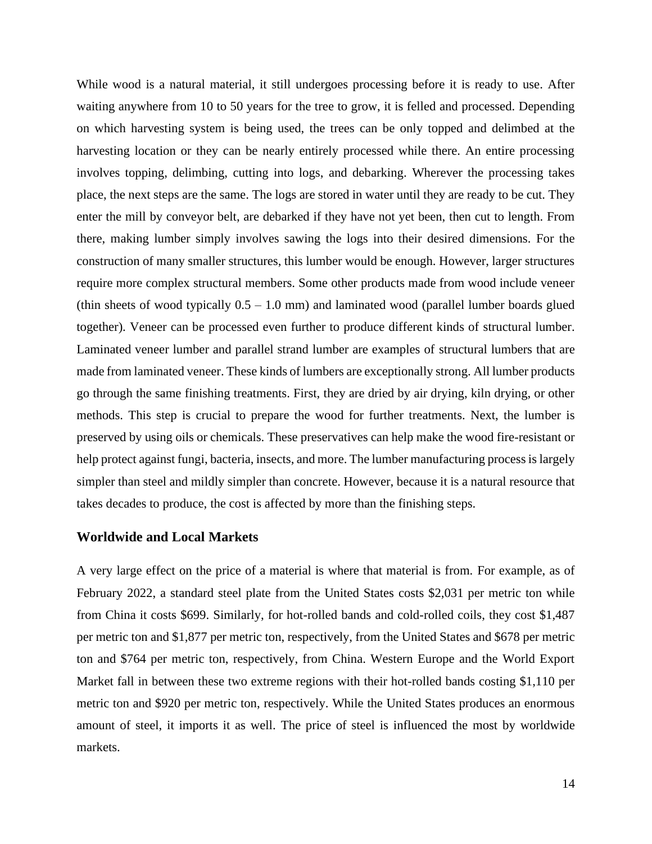While wood is a natural material, it still undergoes processing before it is ready to use. After waiting anywhere from 10 to 50 years for the tree to grow, it is felled and processed. Depending on which harvesting system is being used, the trees can be only topped and delimbed at the harvesting location or they can be nearly entirely processed while there. An entire processing involves topping, delimbing, cutting into logs, and debarking. Wherever the processing takes place, the next steps are the same. The logs are stored in water until they are ready to be cut. They enter the mill by conveyor belt, are debarked if they have not yet been, then cut to length. From there, making lumber simply involves sawing the logs into their desired dimensions. For the construction of many smaller structures, this lumber would be enough. However, larger structures require more complex structural members. Some other products made from wood include veneer (thin sheets of wood typically  $0.5 - 1.0$  mm) and laminated wood (parallel lumber boards glued together). Veneer can be processed even further to produce different kinds of structural lumber. Laminated veneer lumber and parallel strand lumber are examples of structural lumbers that are made from laminated veneer. These kinds of lumbers are exceptionally strong. All lumber products go through the same finishing treatments. First, they are dried by air drying, kiln drying, or other methods. This step is crucial to prepare the wood for further treatments. Next, the lumber is preserved by using oils or chemicals. These preservatives can help make the wood fire-resistant or help protect against fungi, bacteria, insects, and more. The lumber manufacturing process is largely simpler than steel and mildly simpler than concrete. However, because it is a natural resource that takes decades to produce, the cost is affected by more than the finishing steps.

#### <span id="page-17-0"></span>**Worldwide and Local Markets**

A very large effect on the price of a material is where that material is from. For example, as of February 2022, a standard steel plate from the United States costs \$2,031 per metric ton while from China it costs \$699. Similarly, for hot-rolled bands and cold-rolled coils, they cost \$1,487 per metric ton and \$1,877 per metric ton, respectively, from the United States and \$678 per metric ton and \$764 per metric ton, respectively, from China. Western Europe and the World Export Market fall in between these two extreme regions with their hot-rolled bands costing \$1,110 per metric ton and \$920 per metric ton, respectively. While the United States produces an enormous amount of steel, it imports it as well. The price of steel is influenced the most by worldwide markets.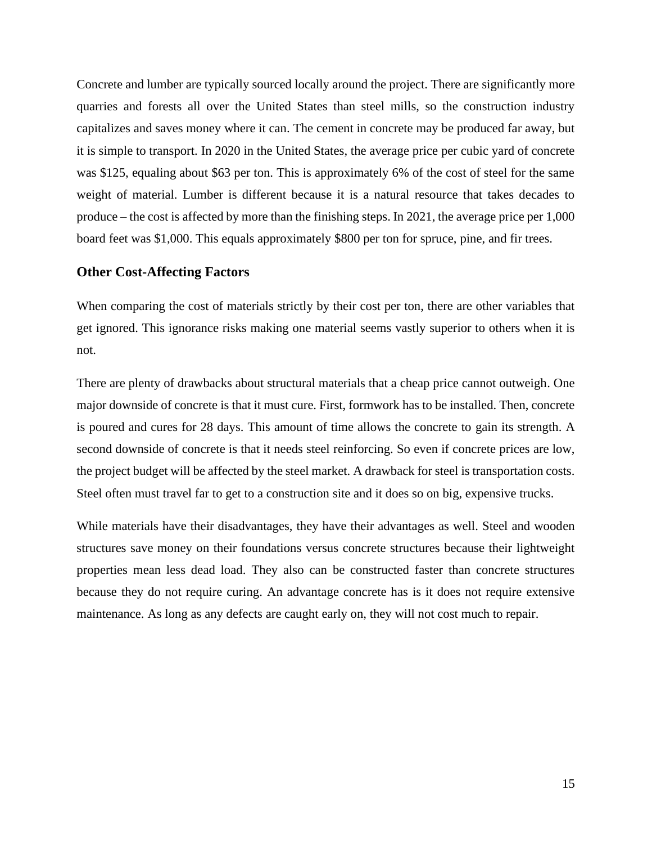Concrete and lumber are typically sourced locally around the project. There are significantly more quarries and forests all over the United States than steel mills, so the construction industry capitalizes and saves money where it can. The cement in concrete may be produced far away, but it is simple to transport. In 2020 in the United States, the average price per cubic yard of concrete was \$125, equaling about \$63 per ton. This is approximately 6% of the cost of steel for the same weight of material. Lumber is different because it is a natural resource that takes decades to produce – the cost is affected by more than the finishing steps. In 2021, the average price per 1,000 board feet was \$1,000. This equals approximately \$800 per ton for spruce, pine, and fir trees.

#### <span id="page-18-0"></span>**Other Cost-Affecting Factors**

When comparing the cost of materials strictly by their cost per ton, there are other variables that get ignored. This ignorance risks making one material seems vastly superior to others when it is not.

There are plenty of drawbacks about structural materials that a cheap price cannot outweigh. One major downside of concrete is that it must cure. First, formwork has to be installed. Then, concrete is poured and cures for 28 days. This amount of time allows the concrete to gain its strength. A second downside of concrete is that it needs steel reinforcing. So even if concrete prices are low, the project budget will be affected by the steel market. A drawback for steel is transportation costs. Steel often must travel far to get to a construction site and it does so on big, expensive trucks.

While materials have their disadvantages, they have their advantages as well. Steel and wooden structures save money on their foundations versus concrete structures because their lightweight properties mean less dead load. They also can be constructed faster than concrete structures because they do not require curing. An advantage concrete has is it does not require extensive maintenance. As long as any defects are caught early on, they will not cost much to repair.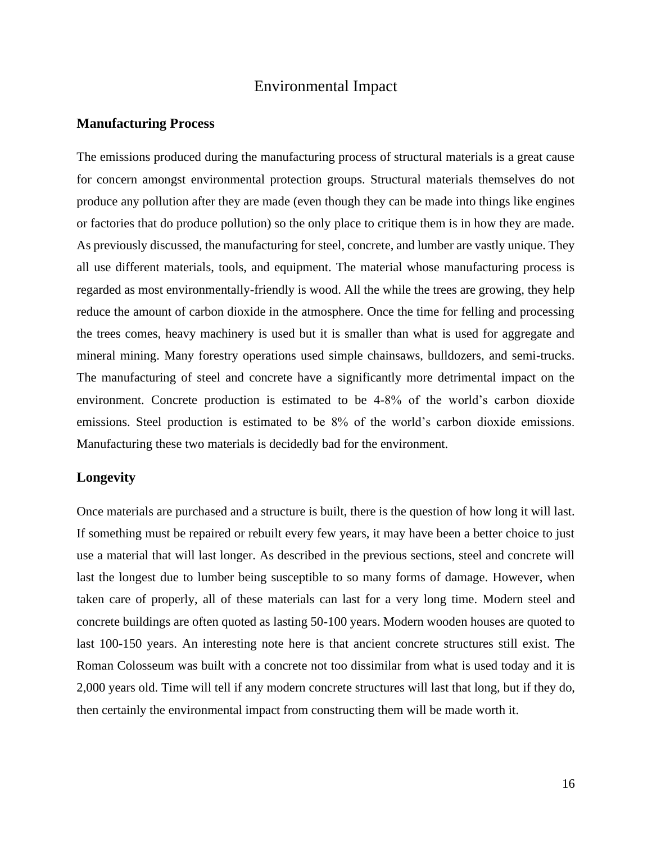# Environmental Impact

#### <span id="page-19-1"></span><span id="page-19-0"></span>**Manufacturing Process**

The emissions produced during the manufacturing process of structural materials is a great cause for concern amongst environmental protection groups. Structural materials themselves do not produce any pollution after they are made (even though they can be made into things like engines or factories that do produce pollution) so the only place to critique them is in how they are made. As previously discussed, the manufacturing for steel, concrete, and lumber are vastly unique. They all use different materials, tools, and equipment. The material whose manufacturing process is regarded as most environmentally-friendly is wood. All the while the trees are growing, they help reduce the amount of carbon dioxide in the atmosphere. Once the time for felling and processing the trees comes, heavy machinery is used but it is smaller than what is used for aggregate and mineral mining. Many forestry operations used simple chainsaws, bulldozers, and semi-trucks. The manufacturing of steel and concrete have a significantly more detrimental impact on the environment. Concrete production is estimated to be 4-8% of the world's carbon dioxide emissions. Steel production is estimated to be 8% of the world's carbon dioxide emissions. Manufacturing these two materials is decidedly bad for the environment.

#### <span id="page-19-2"></span>**Longevity**

Once materials are purchased and a structure is built, there is the question of how long it will last. If something must be repaired or rebuilt every few years, it may have been a better choice to just use a material that will last longer. As described in the previous sections, steel and concrete will last the longest due to lumber being susceptible to so many forms of damage. However, when taken care of properly, all of these materials can last for a very long time. Modern steel and concrete buildings are often quoted as lasting 50-100 years. Modern wooden houses are quoted to last 100-150 years. An interesting note here is that ancient concrete structures still exist. The Roman Colosseum was built with a concrete not too dissimilar from what is used today and it is 2,000 years old. Time will tell if any modern concrete structures will last that long, but if they do, then certainly the environmental impact from constructing them will be made worth it.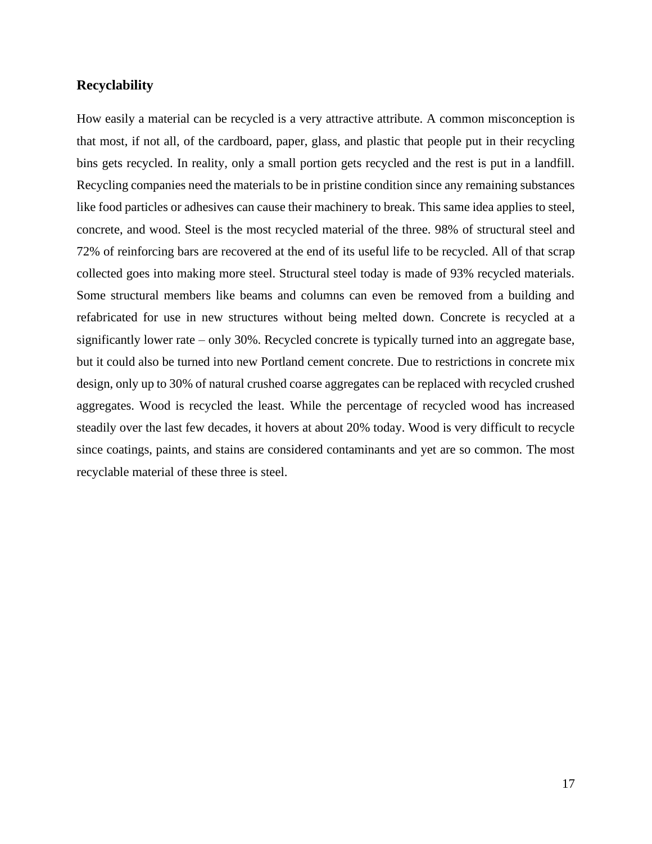#### <span id="page-20-0"></span>**Recyclability**

How easily a material can be recycled is a very attractive attribute. A common misconception is that most, if not all, of the cardboard, paper, glass, and plastic that people put in their recycling bins gets recycled. In reality, only a small portion gets recycled and the rest is put in a landfill. Recycling companies need the materials to be in pristine condition since any remaining substances like food particles or adhesives can cause their machinery to break. This same idea applies to steel, concrete, and wood. Steel is the most recycled material of the three. 98% of structural steel and 72% of reinforcing bars are recovered at the end of its useful life to be recycled. All of that scrap collected goes into making more steel. Structural steel today is made of 93% recycled materials. Some structural members like beams and columns can even be removed from a building and refabricated for use in new structures without being melted down. Concrete is recycled at a significantly lower rate – only 30%. Recycled concrete is typically turned into an aggregate base, but it could also be turned into new Portland cement concrete. Due to restrictions in concrete mix design, only up to 30% of natural crushed coarse aggregates can be replaced with recycled crushed aggregates. Wood is recycled the least. While the percentage of recycled wood has increased steadily over the last few decades, it hovers at about 20% today. Wood is very difficult to recycle since coatings, paints, and stains are considered contaminants and yet are so common. The most recyclable material of these three is steel.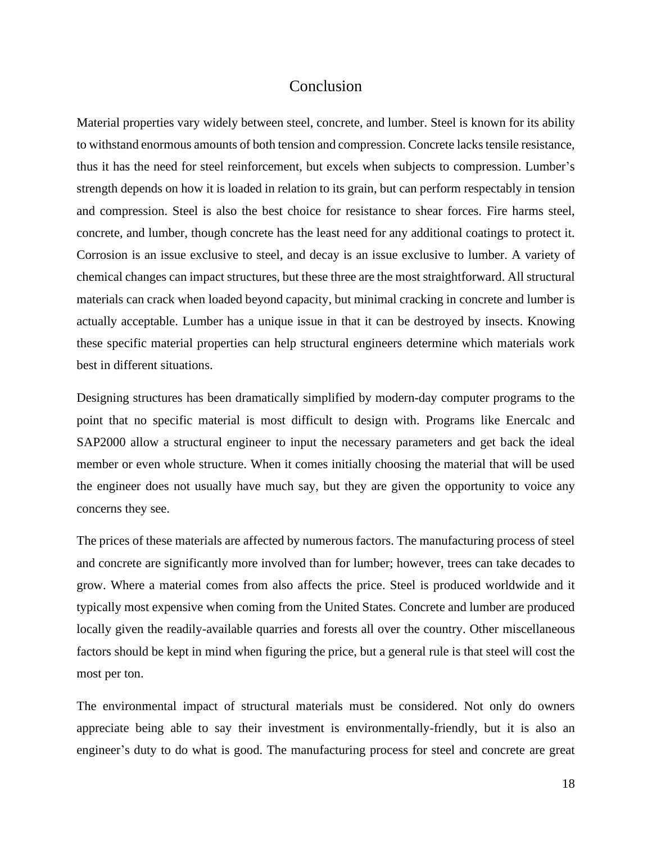#### Conclusion

<span id="page-21-0"></span>Material properties vary widely between steel, concrete, and lumber. Steel is known for its ability to withstand enormous amounts of both tension and compression. Concrete lacks tensile resistance, thus it has the need for steel reinforcement, but excels when subjects to compression. Lumber's strength depends on how it is loaded in relation to its grain, but can perform respectably in tension and compression. Steel is also the best choice for resistance to shear forces. Fire harms steel, concrete, and lumber, though concrete has the least need for any additional coatings to protect it. Corrosion is an issue exclusive to steel, and decay is an issue exclusive to lumber. A variety of chemical changes can impact structures, but these three are the most straightforward. All structural materials can crack when loaded beyond capacity, but minimal cracking in concrete and lumber is actually acceptable. Lumber has a unique issue in that it can be destroyed by insects. Knowing these specific material properties can help structural engineers determine which materials work best in different situations.

Designing structures has been dramatically simplified by modern-day computer programs to the point that no specific material is most difficult to design with. Programs like Enercalc and SAP2000 allow a structural engineer to input the necessary parameters and get back the ideal member or even whole structure. When it comes initially choosing the material that will be used the engineer does not usually have much say, but they are given the opportunity to voice any concerns they see.

The prices of these materials are affected by numerous factors. The manufacturing process of steel and concrete are significantly more involved than for lumber; however, trees can take decades to grow. Where a material comes from also affects the price. Steel is produced worldwide and it typically most expensive when coming from the United States. Concrete and lumber are produced locally given the readily-available quarries and forests all over the country. Other miscellaneous factors should be kept in mind when figuring the price, but a general rule is that steel will cost the most per ton.

The environmental impact of structural materials must be considered. Not only do owners appreciate being able to say their investment is environmentally-friendly, but it is also an engineer's duty to do what is good. The manufacturing process for steel and concrete are great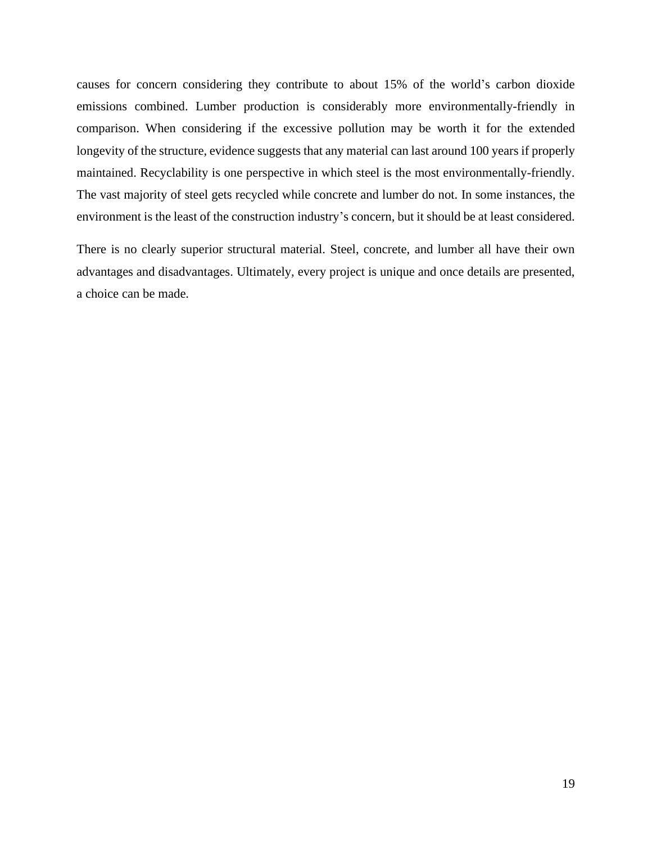causes for concern considering they contribute to about 15% of the world's carbon dioxide emissions combined. Lumber production is considerably more environmentally-friendly in comparison. When considering if the excessive pollution may be worth it for the extended longevity of the structure, evidence suggests that any material can last around 100 years if properly maintained. Recyclability is one perspective in which steel is the most environmentally-friendly. The vast majority of steel gets recycled while concrete and lumber do not. In some instances, the environment is the least of the construction industry's concern, but it should be at least considered.

There is no clearly superior structural material. Steel, concrete, and lumber all have their own advantages and disadvantages. Ultimately, every project is unique and once details are presented, a choice can be made.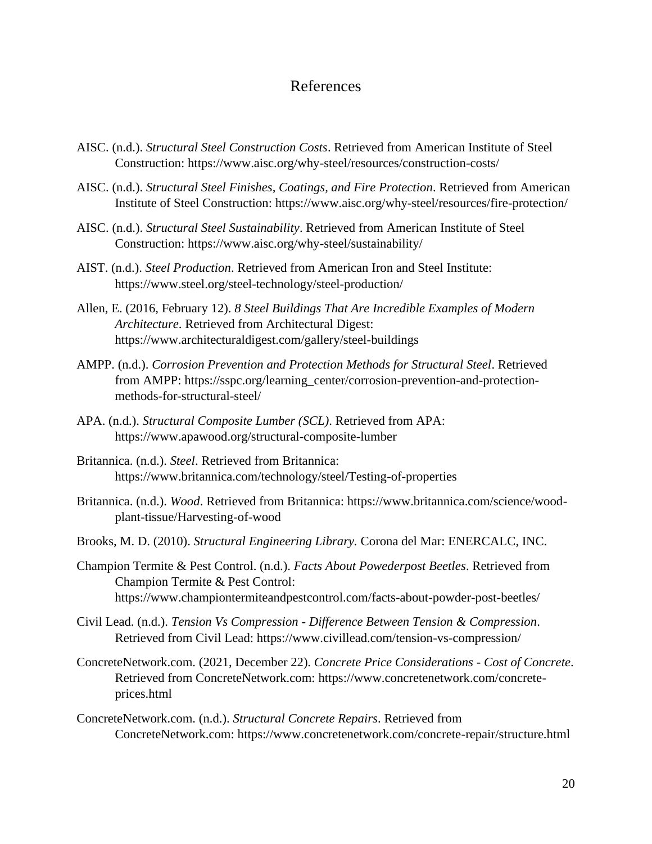# References

- <span id="page-23-0"></span>AISC. (n.d.). *Structural Steel Construction Costs*. Retrieved from American Institute of Steel Construction: https://www.aisc.org/why-steel/resources/construction-costs/
- AISC. (n.d.). *Structural Steel Finishes, Coatings, and Fire Protection*. Retrieved from American Institute of Steel Construction: https://www.aisc.org/why-steel/resources/fire-protection/
- AISC. (n.d.). *Structural Steel Sustainability*. Retrieved from American Institute of Steel Construction: https://www.aisc.org/why-steel/sustainability/
- AIST. (n.d.). *Steel Production*. Retrieved from American Iron and Steel Institute: https://www.steel.org/steel-technology/steel-production/
- Allen, E. (2016, February 12). *8 Steel Buildings That Are Incredible Examples of Modern Architecture*. Retrieved from Architectural Digest: https://www.architecturaldigest.com/gallery/steel-buildings
- AMPP. (n.d.). *Corrosion Prevention and Protection Methods for Structural Steel*. Retrieved from AMPP: https://sspc.org/learning\_center/corrosion-prevention-and-protectionmethods-for-structural-steel/
- APA. (n.d.). *Structural Composite Lumber (SCL)*. Retrieved from APA: https://www.apawood.org/structural-composite-lumber
- Britannica. (n.d.). *Steel*. Retrieved from Britannica: https://www.britannica.com/technology/steel/Testing-of-properties
- Britannica. (n.d.). *Wood*. Retrieved from Britannica: https://www.britannica.com/science/woodplant-tissue/Harvesting-of-wood
- Brooks, M. D. (2010). *Structural Engineering Library.* Corona del Mar: ENERCALC, INC.
- Champion Termite & Pest Control. (n.d.). *Facts About Powederpost Beetles*. Retrieved from Champion Termite & Pest Control: https://www.championtermiteandpestcontrol.com/facts-about-powder-post-beetles/
- Civil Lead. (n.d.). *Tension Vs Compression - Difference Between Tension & Compression*. Retrieved from Civil Lead: https://www.civillead.com/tension-vs-compression/
- ConcreteNetwork.com. (2021, December 22). *Concrete Price Considerations - Cost of Concrete*. Retrieved from ConcreteNetwork.com: https://www.concretenetwork.com/concreteprices.html
- ConcreteNetwork.com. (n.d.). *Structural Concrete Repairs*. Retrieved from ConcreteNetwork.com: https://www.concretenetwork.com/concrete-repair/structure.html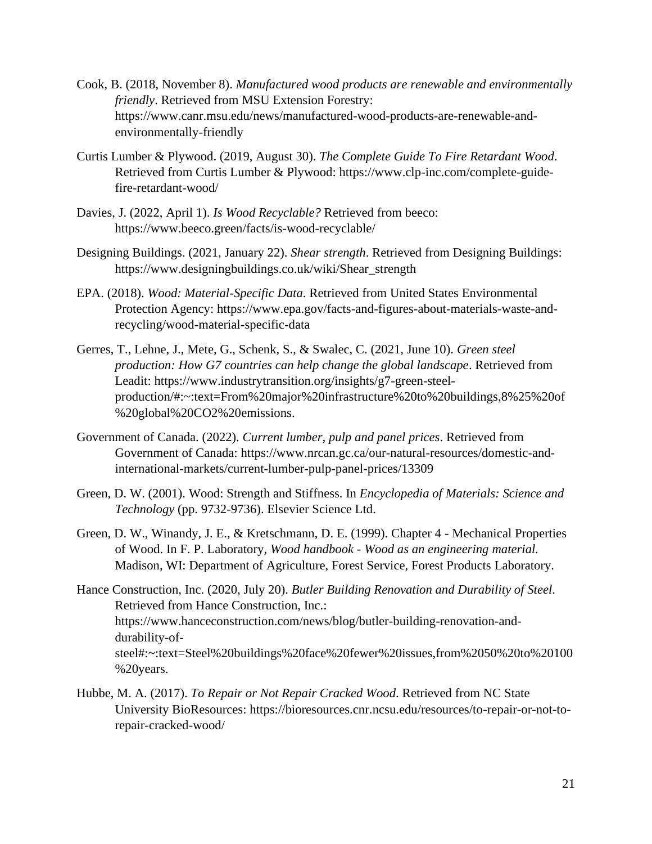- Cook, B. (2018, November 8). *Manufactured wood products are renewable and environmentally friendly*. Retrieved from MSU Extension Forestry: https://www.canr.msu.edu/news/manufactured-wood-products-are-renewable-andenvironmentally-friendly
- Curtis Lumber & Plywood. (2019, August 30). *The Complete Guide To Fire Retardant Wood*. Retrieved from Curtis Lumber & Plywood: https://www.clp-inc.com/complete-guidefire-retardant-wood/
- Davies, J. (2022, April 1). *Is Wood Recyclable?* Retrieved from beeco: https://www.beeco.green/facts/is-wood-recyclable/
- Designing Buildings. (2021, January 22). *Shear strength*. Retrieved from Designing Buildings: https://www.designingbuildings.co.uk/wiki/Shear\_strength
- EPA. (2018). *Wood: Material-Specific Data*. Retrieved from United States Environmental Protection Agency: https://www.epa.gov/facts-and-figures-about-materials-waste-andrecycling/wood-material-specific-data
- Gerres, T., Lehne, J., Mete, G., Schenk, S., & Swalec, C. (2021, June 10). *Green steel production: How G7 countries can help change the global landscape*. Retrieved from Leadit: https://www.industrytransition.org/insights/g7-green-steelproduction/#:~:text=From%20major%20infrastructure%20to%20buildings,8%25%20of %20global%20CO2%20emissions.
- Government of Canada. (2022). *Current lumber, pulp and panel prices*. Retrieved from Government of Canada: https://www.nrcan.gc.ca/our-natural-resources/domestic-andinternational-markets/current-lumber-pulp-panel-prices/13309
- Green, D. W. (2001). Wood: Strength and Stiffness. In *Encyclopedia of Materials: Science and Technology* (pp. 9732-9736). Elsevier Science Ltd.
- Green, D. W., Winandy, J. E., & Kretschmann, D. E. (1999). Chapter 4 Mechanical Properties of Wood. In F. P. Laboratory, *Wood handbook - Wood as an engineering material.* Madison, WI: Department of Agriculture, Forest Service, Forest Products Laboratory.
- Hance Construction, Inc. (2020, July 20). *Butler Building Renovation and Durability of Steel*. Retrieved from Hance Construction, Inc.: https://www.hanceconstruction.com/news/blog/butler-building-renovation-anddurability-ofsteel#:~:text=Steel%20buildings%20face%20fewer%20issues,from%2050%20to%20100 %20years.
- Hubbe, M. A. (2017). *To Repair or Not Repair Cracked Wood*. Retrieved from NC State University BioResources: https://bioresources.cnr.ncsu.edu/resources/to-repair-or-not-torepair-cracked-wood/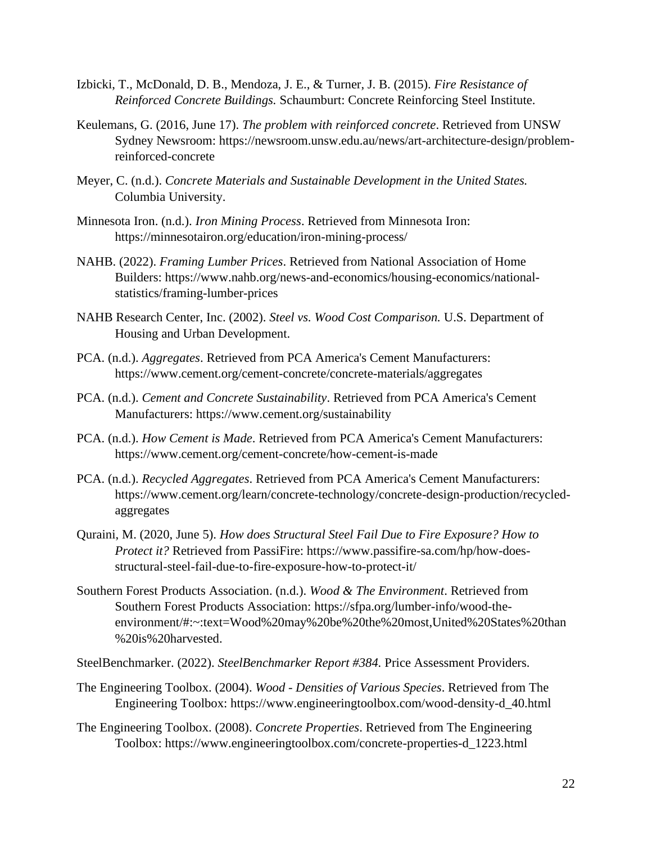- Izbicki, T., McDonald, D. B., Mendoza, J. E., & Turner, J. B. (2015). *Fire Resistance of Reinforced Concrete Buildings.* Schaumburt: Concrete Reinforcing Steel Institute.
- Keulemans, G. (2016, June 17). *The problem with reinforced concrete*. Retrieved from UNSW Sydney Newsroom: https://newsroom.unsw.edu.au/news/art-architecture-design/problemreinforced-concrete
- Meyer, C. (n.d.). *Concrete Materials and Sustainable Development in the United States.* Columbia University.
- Minnesota Iron. (n.d.). *Iron Mining Process*. Retrieved from Minnesota Iron: https://minnesotairon.org/education/iron-mining-process/
- NAHB. (2022). *Framing Lumber Prices*. Retrieved from National Association of Home Builders: https://www.nahb.org/news-and-economics/housing-economics/nationalstatistics/framing-lumber-prices
- NAHB Research Center, Inc. (2002). *Steel vs. Wood Cost Comparison.* U.S. Department of Housing and Urban Development.
- PCA. (n.d.). *Aggregates*. Retrieved from PCA America's Cement Manufacturers: https://www.cement.org/cement-concrete/concrete-materials/aggregates
- PCA. (n.d.). *Cement and Concrete Sustainability*. Retrieved from PCA America's Cement Manufacturers: https://www.cement.org/sustainability
- PCA. (n.d.). *How Cement is Made*. Retrieved from PCA America's Cement Manufacturers: https://www.cement.org/cement-concrete/how-cement-is-made
- PCA. (n.d.). *Recycled Aggregates*. Retrieved from PCA America's Cement Manufacturers: https://www.cement.org/learn/concrete-technology/concrete-design-production/recycledaggregates
- Quraini, M. (2020, June 5). *How does Structural Steel Fail Due to Fire Exposure? How to Protect it?* Retrieved from PassiFire: https://www.passifire-sa.com/hp/how-doesstructural-steel-fail-due-to-fire-exposure-how-to-protect-it/
- Southern Forest Products Association. (n.d.). *Wood & The Environment*. Retrieved from Southern Forest Products Association: https://sfpa.org/lumber-info/wood-theenvironment/#:~:text=Wood%20may%20be%20the%20most,United%20States%20than %20is%20harvested.
- SteelBenchmarker. (2022). *SteelBenchmarker Report #384.* Price Assessment Providers.
- The Engineering Toolbox. (2004). *Wood - Densities of Various Species*. Retrieved from The Engineering Toolbox: https://www.engineeringtoolbox.com/wood-density-d\_40.html
- The Engineering Toolbox. (2008). *Concrete Properties*. Retrieved from The Engineering Toolbox: https://www.engineeringtoolbox.com/concrete-properties-d\_1223.html